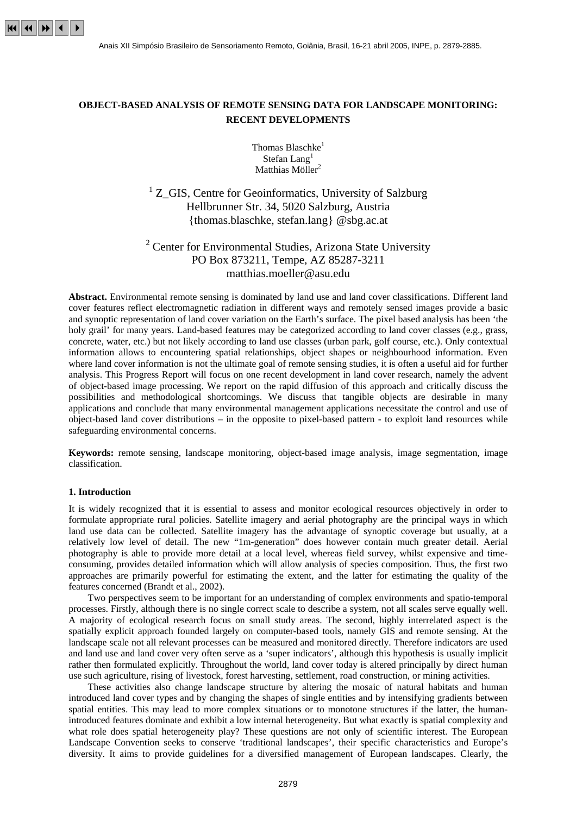

# **OBJECT-BASED ANALYSIS OF REMOTE SENSING DATA FOR LANDSCAPE MONITORING: RECENT DEVELOPMENTS**

Thomas Blaschke<sup>1</sup> Stefan Lang<sup>1</sup> Matthias Möller<sup>2</sup>

<sup>1</sup> Z\_GIS, Centre for Geoinformatics, University of Salzburg Hellbrunner Str. 34, 5020 Salzburg, Austria {thomas.blaschke, stefan.lang} @sbg.ac.at

# <sup>2</sup> Center for Environmental Studies, Arizona State University PO Box 873211, Tempe, AZ 85287-3211 matthias.moeller@asu.edu

**Abstract.** Environmental remote sensing is dominated by land use and land cover classifications. Different land cover features reflect electromagnetic radiation in different ways and remotely sensed images provide a basic and synoptic representation of land cover variation on the Earth's surface. The pixel based analysis has been 'the holy grail' for many years. Land-based features may be categorized according to land cover classes (e.g., grass, concrete, water, etc.) but not likely according to land use classes (urban park, golf course, etc.). Only contextual information allows to encountering spatial relationships, object shapes or neighbourhood information. Even where land cover information is not the ultimate goal of remote sensing studies, it is often a useful aid for further analysis. This Progress Report will focus on one recent development in land cover research, namely the advent of object-based image processing. We report on the rapid diffusion of this approach and critically discuss the possibilities and methodological shortcomings. We discuss that tangible objects are desirable in many applications and conclude that many environmental management applications necessitate the control and use of object-based land cover distributions – in the opposite to pixel-based pattern - to exploit land resources while safeguarding environmental concerns.

**Keywords:** remote sensing, landscape monitoring, object-based image analysis, image segmentation, image classification.

# **1. Introduction**

It is widely recognized that it is essential to assess and monitor ecological resources objectively in order to formulate appropriate rural policies. Satellite imagery and aerial photography are the principal ways in which land use data can be collected. Satellite imagery has the advantage of synoptic coverage but usually, at a relatively low level of detail. The new "1m-generation" does however contain much greater detail. Aerial photography is able to provide more detail at a local level, whereas field survey, whilst expensive and timeconsuming, provides detailed information which will allow analysis of species composition. Thus, the first two approaches are primarily powerful for estimating the extent, and the latter for estimating the quality of the features concerned (Brandt et al., 2002).

Two perspectives seem to be important for an understanding of complex environments and spatio-temporal processes. Firstly, although there is no single correct scale to describe a system, not all scales serve equally well. A majority of ecological research focus on small study areas. The second, highly interrelated aspect is the spatially explicit approach founded largely on computer-based tools, namely GIS and remote sensing. At the landscape scale not all relevant processes can be measured and monitored directly. Therefore indicators are used and land use and land cover very often serve as a 'super indicators', although this hypothesis is usually implicit rather then formulated explicitly. Throughout the world, land cover today is altered principally by direct human use such agriculture, rising of livestock, forest harvesting, settlement, road construction, or mining activities.

These activities also change landscape structure by altering the mosaic of natural habitats and human introduced land cover types and by changing the shapes of single entities and by intensifying gradients between spatial entities. This may lead to more complex situations or to monotone structures if the latter, the humanintroduced features dominate and exhibit a low internal heterogeneity. But what exactly is spatial complexity and what role does spatial heterogeneity play? These questions are not only of scientific interest. The European Landscape Convention seeks to conserve 'traditional landscapes', their specific characteristics and Europe's diversity. It aims to provide guidelines for a diversified management of European landscapes. Clearly, the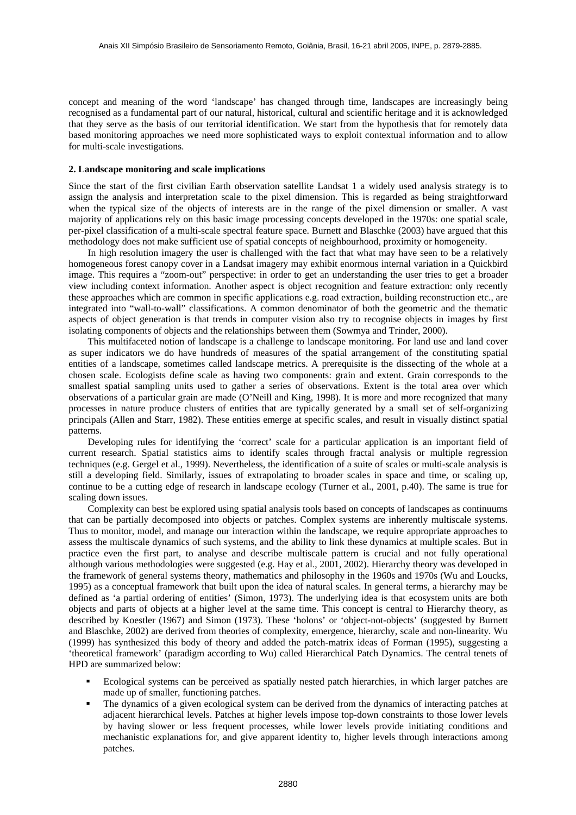concept and meaning of the word 'landscape' has changed through time, landscapes are increasingly being recognised as a fundamental part of our natural, historical, cultural and scientific heritage and it is acknowledged that they serve as the basis of our territorial identification. We start from the hypothesis that for remotely data based monitoring approaches we need more sophisticated ways to exploit contextual information and to allow for multi-scale investigations.

#### **2. Landscape monitoring and scale implications**

Since the start of the first civilian Earth observation satellite Landsat 1 a widely used analysis strategy is to assign the analysis and interpretation scale to the pixel dimension. This is regarded as being straightforward when the typical size of the objects of interests are in the range of the pixel dimension or smaller. A vast majority of applications rely on this basic image processing concepts developed in the 1970s: one spatial scale, per-pixel classification of a multi-scale spectral feature space. Burnett and Blaschke (2003) have argued that this methodology does not make sufficient use of spatial concepts of neighbourhood, proximity or homogeneity.

In high resolution imagery the user is challenged with the fact that what may have seen to be a relatively homogeneous forest canopy cover in a Landsat imagery may exhibit enormous internal variation in a Quickbird image. This requires a "zoom-out" perspective: in order to get an understanding the user tries to get a broader view including context information. Another aspect is object recognition and feature extraction: only recently these approaches which are common in specific applications e.g. road extraction, building reconstruction etc., are integrated into "wall-to-wall" classifications. A common denominator of both the geometric and the thematic aspects of object generation is that trends in computer vision also try to recognise objects in images by first isolating components of objects and the relationships between them (Sowmya and Trinder, 2000).

This multifaceted notion of landscape is a challenge to landscape monitoring. For land use and land cover as super indicators we do have hundreds of measures of the spatial arrangement of the constituting spatial entities of a landscape, sometimes called landscape metrics. A prerequisite is the dissecting of the whole at a chosen scale. Ecologists define scale as having two components: grain and extent. Grain corresponds to the smallest spatial sampling units used to gather a series of observations. Extent is the total area over which observations of a particular grain are made (O'Neill and King, 1998). It is more and more recognized that many processes in nature produce clusters of entities that are typically generated by a small set of self-organizing principals (Allen and Starr, 1982). These entities emerge at specific scales, and result in visually distinct spatial patterns.

Developing rules for identifying the 'correct' scale for a particular application is an important field of current research. Spatial statistics aims to identify scales through fractal analysis or multiple regression techniques (e.g. Gergel et al., 1999). Nevertheless, the identification of a suite of scales or multi-scale analysis is still a developing field. Similarly, issues of extrapolating to broader scales in space and time, or scaling up, continue to be a cutting edge of research in landscape ecology (Turner et al., 2001, p.40). The same is true for scaling down issues.

Complexity can best be explored using spatial analysis tools based on concepts of landscapes as continuums that can be partially decomposed into objects or patches. Complex systems are inherently multiscale systems. Thus to monitor, model, and manage our interaction within the landscape, we require appropriate approaches to assess the multiscale dynamics of such systems, and the ability to link these dynamics at multiple scales. But in practice even the first part, to analyse and describe multiscale pattern is crucial and not fully operational although various methodologies were suggested (e.g. Hay et al., 2001, 2002). Hierarchy theory was developed in the framework of general systems theory, mathematics and philosophy in the 1960s and 1970s (Wu and Loucks, 1995) as a conceptual framework that built upon the idea of natural scales. In general terms, a hierarchy may be defined as 'a partial ordering of entities' (Simon, 1973). The underlying idea is that ecosystem units are both objects and parts of objects at a higher level at the same time. This concept is central to Hierarchy theory, as described by Koestler (1967) and Simon (1973). These 'holons' or 'object-not-objects' (suggested by Burnett and Blaschke, 2002) are derived from theories of complexity, emergence, hierarchy, scale and non-linearity. Wu (1999) has synthesized this body of theory and added the patch-matrix ideas of Forman (1995), suggesting a 'theoretical framework' (paradigm according to Wu) called Hierarchical Patch Dynamics. The central tenets of HPD are summarized below:

- ! Ecological systems can be perceived as spatially nested patch hierarchies, in which larger patches are made up of smaller, functioning patches.
- ! The dynamics of a given ecological system can be derived from the dynamics of interacting patches at adjacent hierarchical levels. Patches at higher levels impose top-down constraints to those lower levels by having slower or less frequent processes, while lower levels provide initiating conditions and mechanistic explanations for, and give apparent identity to, higher levels through interactions among patches.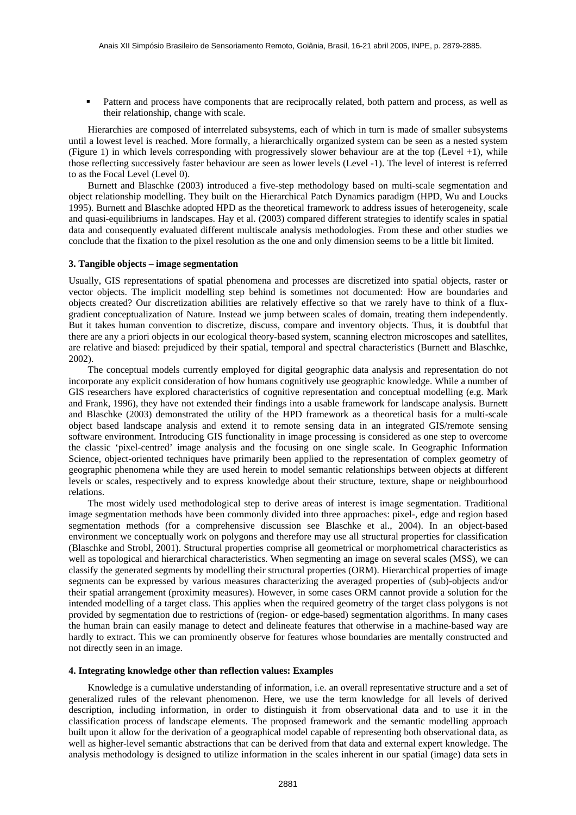Pattern and process have components that are reciprocally related, both pattern and process, as well as their relationship, change with scale.

Hierarchies are composed of interrelated subsystems, each of which in turn is made of smaller subsystems until a lowest level is reached. More formally, a hierarchically organized system can be seen as a nested system (Figure 1) in which levels corresponding with progressively slower behaviour are at the top (Level +1), while those reflecting successively faster behaviour are seen as lower levels (Level -1). The level of interest is referred to as the Focal Level (Level 0).

Burnett and Blaschke (2003) introduced a five-step methodology based on multi-scale segmentation and object relationship modelling. They built on the Hierarchical Patch Dynamics paradigm (HPD, Wu and Loucks 1995). Burnett and Blaschke adopted HPD as the theoretical framework to address issues of heterogeneity, scale and quasi-equilibriums in landscapes. Hay et al. (2003) compared different strategies to identify scales in spatial data and consequently evaluated different multiscale analysis methodologies. From these and other studies we conclude that the fixation to the pixel resolution as the one and only dimension seems to be a little bit limited.

#### **3. Tangible objects – image segmentation**

Usually, GIS representations of spatial phenomena and processes are discretized into spatial objects, raster or vector objects. The implicit modelling step behind is sometimes not documented: How are boundaries and objects created? Our discretization abilities are relatively effective so that we rarely have to think of a fluxgradient conceptualization of Nature. Instead we jump between scales of domain, treating them independently. But it takes human convention to discretize, discuss, compare and inventory objects. Thus, it is doubtful that there are any a priori objects in our ecological theory-based system, scanning electron microscopes and satellites, are relative and biased: prejudiced by their spatial, temporal and spectral characteristics (Burnett and Blaschke, 2002).

The conceptual models currently employed for digital geographic data analysis and representation do not incorporate any explicit consideration of how humans cognitively use geographic knowledge. While a number of GIS researchers have explored characteristics of cognitive representation and conceptual modelling (e.g. Mark and Frank, 1996), they have not extended their findings into a usable framework for landscape analysis. Burnett and Blaschke (2003) demonstrated the utility of the HPD framework as a theoretical basis for a multi-scale object based landscape analysis and extend it to remote sensing data in an integrated GIS/remote sensing software environment. Introducing GIS functionality in image processing is considered as one step to overcome the classic 'pixel-centred' image analysis and the focusing on one single scale. In Geographic Information Science, object-oriented techniques have primarily been applied to the representation of complex geometry of geographic phenomena while they are used herein to model semantic relationships between objects at different levels or scales, respectively and to express knowledge about their structure, texture, shape or neighbourhood relations.

The most widely used methodological step to derive areas of interest is image segmentation. Traditional image segmentation methods have been commonly divided into three approaches: pixel-, edge and region based segmentation methods (for a comprehensive discussion see Blaschke et al., 2004). In an object-based environment we conceptually work on polygons and therefore may use all structural properties for classification (Blaschke and Strobl, 2001). Structural properties comprise all geometrical or morphometrical characteristics as well as topological and hierarchical characteristics. When segmenting an image on several scales (MSS), we can classify the generated segments by modelling their structural properties (ORM). Hierarchical properties of image segments can be expressed by various measures characterizing the averaged properties of (sub)-objects and/or their spatial arrangement (proximity measures). However, in some cases ORM cannot provide a solution for the intended modelling of a target class. This applies when the required geometry of the target class polygons is not provided by segmentation due to restrictions of (region- or edge-based) segmentation algorithms. In many cases the human brain can easily manage to detect and delineate features that otherwise in a machine-based way are hardly to extract. This we can prominently observe for features whose boundaries are mentally constructed and not directly seen in an image.

## **4. Integrating knowledge other than reflection values: Examples**

Knowledge is a cumulative understanding of information, i.e. an overall representative structure and a set of generalized rules of the relevant phenomenon. Here, we use the term knowledge for all levels of derived description, including information, in order to distinguish it from observational data and to use it in the classification process of landscape elements. The proposed framework and the semantic modelling approach built upon it allow for the derivation of a geographical model capable of representing both observational data, as well as higher-level semantic abstractions that can be derived from that data and external expert knowledge. The analysis methodology is designed to utilize information in the scales inherent in our spatial (image) data sets in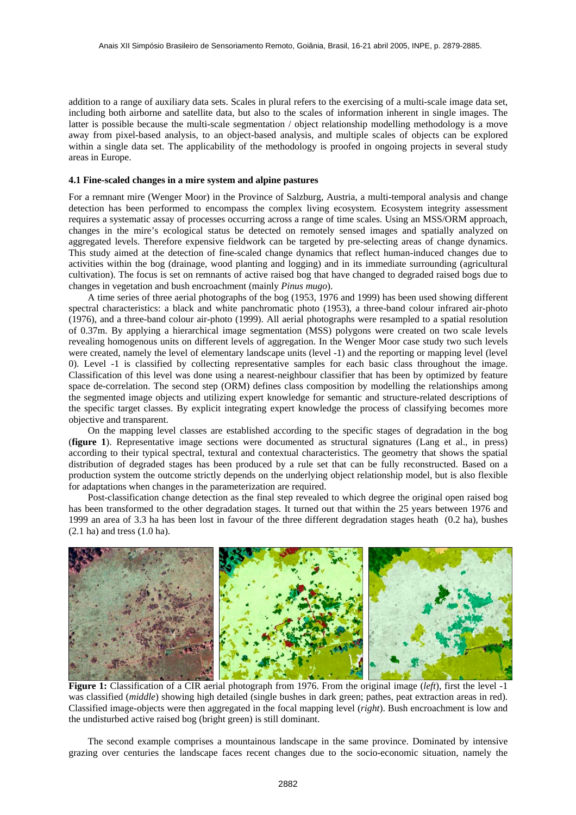addition to a range of auxiliary data sets. Scales in plural refers to the exercising of a multi-scale image data set, including both airborne and satellite data, but also to the scales of information inherent in single images. The latter is possible because the multi-scale segmentation / object relationship modelling methodology is a move away from pixel-based analysis, to an object-based analysis, and multiple scales of objects can be explored within a single data set. The applicability of the methodology is proofed in ongoing projects in several study areas in Europe.

#### **4.1 Fine-scaled changes in a mire system and alpine pastures**

For a remnant mire (Wenger Moor) in the Province of Salzburg, Austria, a multi-temporal analysis and change detection has been performed to encompass the complex living ecosystem. Ecosystem integrity assessment requires a systematic assay of processes occurring across a range of time scales. Using an MSS/ORM approach, changes in the mire's ecological status be detected on remotely sensed images and spatially analyzed on aggregated levels. Therefore expensive fieldwork can be targeted by pre-selecting areas of change dynamics. This study aimed at the detection of fine-scaled change dynamics that reflect human-induced changes due to activities within the bog (drainage, wood planting and logging) and in its immediate surrounding (agricultural cultivation). The focus is set on remnants of active raised bog that have changed to degraded raised bogs due to changes in vegetation and bush encroachment (mainly *Pinus mugo*).

A time series of three aerial photographs of the bog (1953, 1976 and 1999) has been used showing different spectral characteristics: a black and white panchromatic photo (1953), a three-band colour infrared air-photo (1976), and a three-band colour air-photo (1999). All aerial photographs were resampled to a spatial resolution of 0.37m. By applying a hierarchical image segmentation (MSS) polygons were created on two scale levels revealing homogenous units on different levels of aggregation. In the Wenger Moor case study two such levels were created, namely the level of elementary landscape units (level -1) and the reporting or mapping level (level 0). Level -1 is classified by collecting representative samples for each basic class throughout the image. Classification of this level was done using a nearest-neighbour classifier that has been by optimized by feature space de-correlation. The second step (ORM) defines class composition by modelling the relationships among the segmented image objects and utilizing expert knowledge for semantic and structure-related descriptions of the specific target classes. By explicit integrating expert knowledge the process of classifying becomes more objective and transparent.

On the mapping level classes are established according to the specific stages of degradation in the bog (**figure 1**). Representative image sections were documented as structural signatures (Lang et al., in press) according to their typical spectral, textural and contextual characteristics. The geometry that shows the spatial distribution of degraded stages has been produced by a rule set that can be fully reconstructed. Based on a production system the outcome strictly depends on the underlying object relationship model, but is also flexible for adaptations when changes in the parameterization are required.

Post-classification change detection as the final step revealed to which degree the original open raised bog has been transformed to the other degradation stages. It turned out that within the 25 years between 1976 and 1999 an area of 3.3 ha has been lost in favour of the three different degradation stages heath (0.2 ha), bushes (2.1 ha) and tress (1.0 ha).



**Figure 1:** Classification of a CIR aerial photograph from 1976. From the original image (*left*), first the level -1 was classified *(middle)* showing high detailed (single bushes in dark green; pathes, peat extraction areas in red). Classified image-objects were then aggregated in the focal mapping level (*right*). Bush encroachment is low and the undisturbed active raised bog (bright green) is still dominant.

The second example comprises a mountainous landscape in the same province. Dominated by intensive grazing over centuries the landscape faces recent changes due to the socio-economic situation, namely the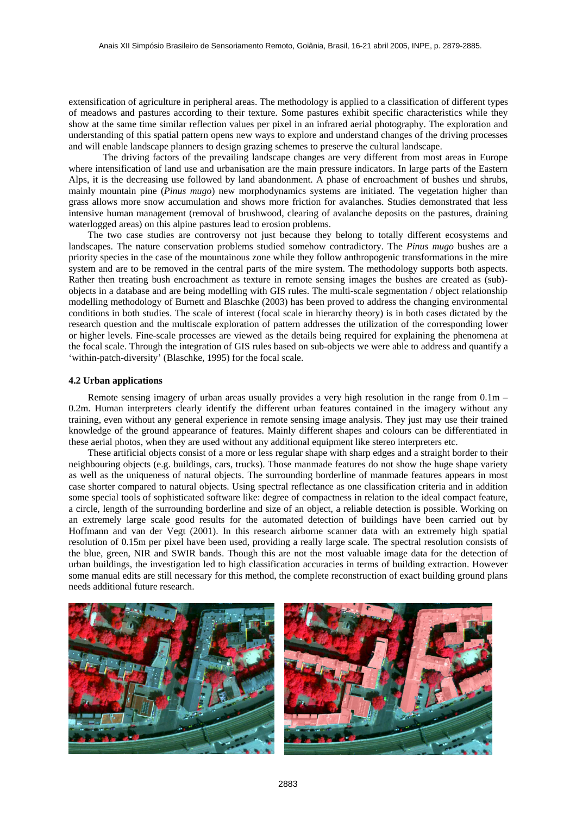extensification of agriculture in peripheral areas. The methodology is applied to a classification of different types of meadows and pastures according to their texture. Some pastures exhibit specific characteristics while they show at the same time similar reflection values per pixel in an infrared aerial photography. The exploration and understanding of this spatial pattern opens new ways to explore and understand changes of the driving processes and will enable landscape planners to design grazing schemes to preserve the cultural landscape.

The driving factors of the prevailing landscape changes are very different from most areas in Europe where intensification of land use and urbanisation are the main pressure indicators. In large parts of the Eastern Alps, it is the decreasing use followed by land abandonment. A phase of encroachment of bushes und shrubs, mainly mountain pine (*Pinus mugo*) new morphodynamics systems are initiated. The vegetation higher than grass allows more snow accumulation and shows more friction for avalanches. Studies demonstrated that less intensive human management (removal of brushwood, clearing of avalanche deposits on the pastures, draining waterlogged areas) on this alpine pastures lead to erosion problems.

The two case studies are controversy not just because they belong to totally different ecosystems and landscapes. The nature conservation problems studied somehow contradictory. The *Pinus mugo* bushes are a priority species in the case of the mountainous zone while they follow anthropogenic transformations in the mire system and are to be removed in the central parts of the mire system. The methodology supports both aspects. Rather then treating bush encroachment as texture in remote sensing images the bushes are created as (sub) objects in a database and are being modelling with GIS rules. The multi-scale segmentation / object relationship modelling methodology of Burnett and Blaschke (2003) has been proved to address the changing environmental conditions in both studies. The scale of interest (focal scale in hierarchy theory) is in both cases dictated by the research question and the multiscale exploration of pattern addresses the utilization of the corresponding lower or higher levels. Fine-scale processes are viewed as the details being required for explaining the phenomena at the focal scale. Through the integration of GIS rules based on sub-objects we were able to address and quantify a 'within-patch-diversity' (Blaschke, 1995) for the focal scale.

# **4.2 Urban applications**

Remote sensing imagery of urban areas usually provides a very high resolution in the range from 0.1m – 0.2m. Human interpreters clearly identify the different urban features contained in the imagery without any training, even without any general experience in remote sensing image analysis. They just may use their trained knowledge of the ground appearance of features. Mainly different shapes and colours can be differentiated in these aerial photos, when they are used without any additional equipment like stereo interpreters etc.

These artificial objects consist of a more or less regular shape with sharp edges and a straight border to their neighbouring objects (e.g. buildings, cars, trucks). Those manmade features do not show the huge shape variety as well as the uniqueness of natural objects. The surrounding borderline of manmade features appears in most case shorter compared to natural objects. Using spectral reflectance as one classification criteria and in addition some special tools of sophisticated software like: degree of compactness in relation to the ideal compact feature, a circle, length of the surrounding borderline and size of an object, a reliable detection is possible. Working on an extremely large scale good results for the automated detection of buildings have been carried out by Hoffmann and van der Vegt (2001). In this research airborne scanner data with an extremely high spatial resolution of 0.15m per pixel have been used, providing a really large scale. The spectral resolution consists of the blue, green, NIR and SWIR bands. Though this are not the most valuable image data for the detection of urban buildings, the investigation led to high classification accuracies in terms of building extraction. However some manual edits are still necessary for this method, the complete reconstruction of exact building ground plans needs additional future research.



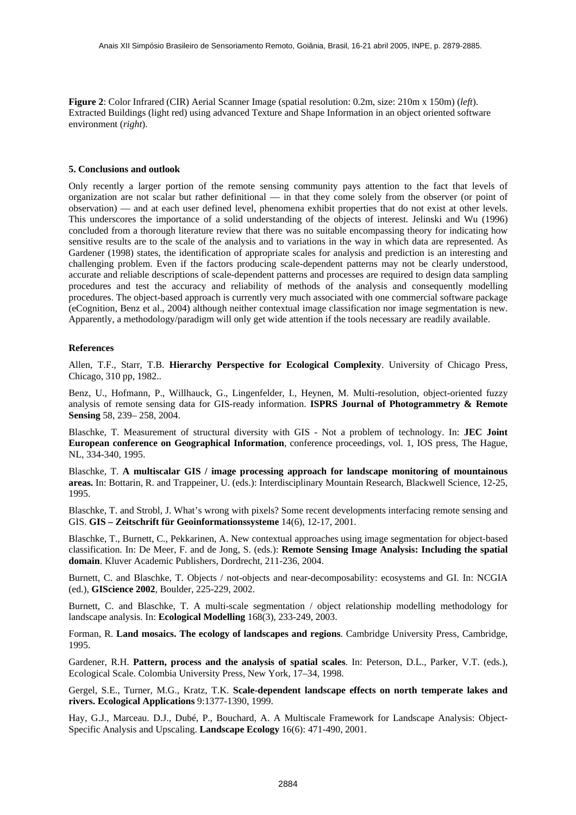**Figure 2**: Color Infrared (CIR) Aerial Scanner Image (spatial resolution: 0.2m, size: 210m x 150m) (*left*). Extracted Buildings (light red) using advanced Texture and Shape Information in an object oriented software environment (*right*).

## **5. Conclusions and outlook**

Only recently a larger portion of the remote sensing community pays attention to the fact that levels of organization are not scalar but rather definitional — in that they come solely from the observer (or point of observation) — and at each user defined level, phenomena exhibit properties that do not exist at other levels. This underscores the importance of a solid understanding of the objects of interest. Jelinski and Wu (1996) concluded from a thorough literature review that there was no suitable encompassing theory for indicating how sensitive results are to the scale of the analysis and to variations in the way in which data are represented. As Gardener (1998) states, the identification of appropriate scales for analysis and prediction is an interesting and challenging problem. Even if the factors producing scale-dependent patterns may not be clearly understood, accurate and reliable descriptions of scale-dependent patterns and processes are required to design data sampling procedures and test the accuracy and reliability of methods of the analysis and consequently modelling procedures. The object-based approach is currently very much associated with one commercial software package (eCognition, Benz et al., 2004) although neither contextual image classification nor image segmentation is new. Apparently, a methodology/paradigm will only get wide attention if the tools necessary are readily available.

#### **References**

Allen, T.F., Starr, T.B. **Hierarchy Perspective for Ecological Complexity**. University of Chicago Press, Chicago, 310 pp, 1982..

Benz, U., Hofmann, P., Willhauck, G., Lingenfelder, I., Heynen, M. Multi-resolution, object-oriented fuzzy analysis of remote sensing data for GIS-ready information. **ISPRS Journal of Photogrammetry & Remote Sensing** 58, 239– 258, 2004.

Blaschke, T. Measurement of structural diversity with GIS - Not a problem of technology. In: **JEC Joint European conference on Geographical Information**, conference proceedings, vol. 1, IOS press, The Hague, NL, 334-340, 1995.

Blaschke, T. **A multiscalar GIS / image processing approach for landscape monitoring of mountainous areas.** In: Bottarin, R. and Trappeiner, U. (eds.): Interdisciplinary Mountain Research, Blackwell Science, 12-25, 1995.

Blaschke, T. and Strobl, J. What's wrong with pixels? Some recent developments interfacing remote sensing and GIS. **GIS – Zeitschrift für Geoinformationssysteme** 14(6), 12-17, 2001.

Blaschke, T., Burnett, C., Pekkarinen, A. New contextual approaches using image segmentation for object-based classification. In: De Meer, F. and de Jong, S. (eds.): **Remote Sensing Image Analysis: Including the spatial domain**. Kluver Academic Publishers, Dordrecht, 211-236, 2004.

Burnett, C. and Blaschke, T. Objects / not-objects and near-decomposability: ecosystems and GI. In: NCGIA (ed.), **GIScience 2002**, Boulder, 225-229, 2002.

Burnett, C. and Blaschke, T. A multi-scale segmentation / object relationship modelling methodology for landscape analysis. In: **Ecological Modelling** 168(3), 233-249, 2003.

Forman, R. **Land mosaics. The ecology of landscapes and regions**. Cambridge University Press, Cambridge, 1995.

Gardener, R.H. **Pattern, process and the analysis of spatial scales**. In: Peterson, D.L., Parker, V.T. (eds.), Ecological Scale. Colombia University Press, New York, 17–34, 1998.

Gergel, S.E., Turner, M.G., Kratz, T.K. **Scale-dependent landscape effects on north temperate lakes and rivers. Ecological Applications** 9:1377-1390, 1999.

Hay, G.J., Marceau. D.J., Dubé, P., Bouchard, A. A Multiscale Framework for Landscape Analysis: Object-Specific Analysis and Upscaling. **Landscape Ecology** 16(6): 471-490, 2001.